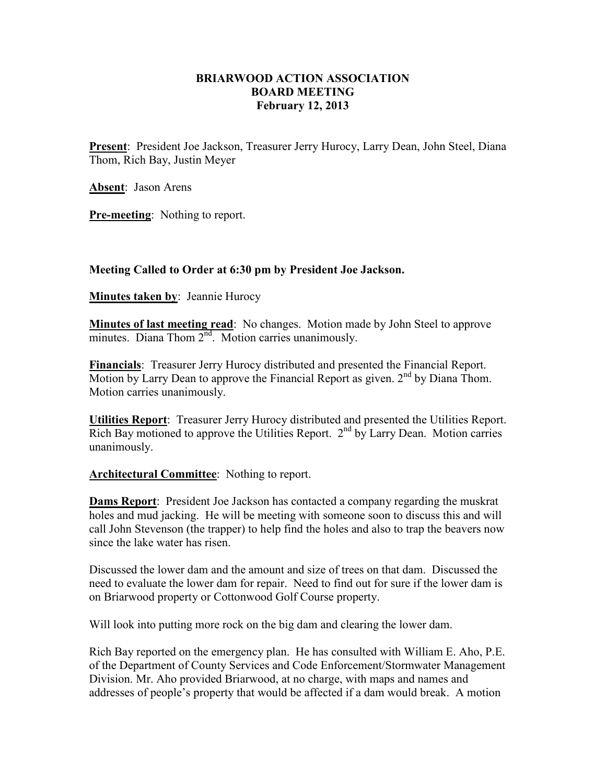## **BRIARWOOD ACTION ASSOCIATION BOARD MEETING February 12, 2013**

**Present**: President Joe Jackson, Treasurer Jerry Hurocy, Larry Dean, John Steel, Diana Thom, Rich Bay, Justin Meyer

**Absent**: Jason Arens

**Pre-meeting**: Nothing to report.

## **Meeting Called to Order at 6:30 pm by President Joe Jackson.**

**Minutes taken by: Jeannie Hurocy** 

**Minutes of last meeting read**: No changes. Motion made by John Steel to approve minutes. Diana Thom  $2<sup>nd</sup>$ . Motion carries unanimously.

**Financials**: Treasurer Jerry Hurocy distributed and presented the Financial Report. Motion by Larry Dean to approve the Financial Report as given.  $2<sup>nd</sup>$  by Diana Thom. Motion carries unanimously.

**Utilities Report**: Treasurer Jerry Hurocy distributed and presented the Utilities Report. Rich Bay motioned to approve the Utilities Report.  $2<sup>nd</sup>$  by Larry Dean. Motion carries unanimously.

## **Architectural Committee**: Nothing to report.

**Dams Report**: President Joe Jackson has contacted a company regarding the muskrat holes and mud jacking. He will be meeting with someone soon to discuss this and will call John Stevenson (the trapper) to help find the holes and also to trap the beavers now since the lake water has risen.

Discussed the lower dam and the amount and size of trees on that dam. Discussed the need to evaluate the lower dam for repair. Need to find out for sure if the lower dam is on Briarwood property or Cottonwood Golf Course property.

Will look into putting more rock on the big dam and clearing the lower dam.

Rich Bay reported on the emergency plan. He has consulted with William E. Aho, P.E. of the Department of County Services and Code Enforcement/Stormwater Management Division. Mr. Aho provided Briarwood, at no charge, with maps and names and addresses of people's property that would be affected if a dam would break. A motion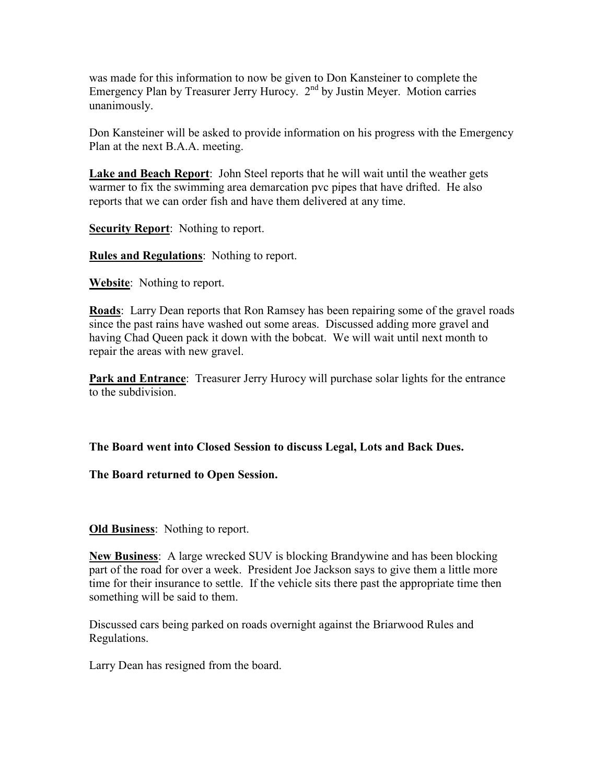was made for this information to now be given to Don Kansteiner to complete the Emergency Plan by Treasurer Jerry Hurocy.  $2<sup>nd</sup>$  by Justin Meyer. Motion carries unanimously.

Don Kansteiner will be asked to provide information on his progress with the Emergency Plan at the next B.A.A. meeting.

**Lake and Beach Report**: John Steel reports that he will wait until the weather gets warmer to fix the swimming area demarcation pvc pipes that have drifted. He also reports that we can order fish and have them delivered at any time.

**Security Report:** Nothing to report.

**Rules and Regulations**: Nothing to report.

**Website**: Nothing to report.

**Roads**: Larry Dean reports that Ron Ramsey has been repairing some of the gravel roads since the past rains have washed out some areas. Discussed adding more gravel and having Chad Queen pack it down with the bobcat. We will wait until next month to repair the areas with new gravel.

**Park and Entrance**: Treasurer Jerry Hurocy will purchase solar lights for the entrance to the subdivision.

**The Board went into Closed Session to discuss Legal, Lots and Back Dues.** 

**The Board returned to Open Session.** 

**Old Business**: Nothing to report.

**New Business**: A large wrecked SUV is blocking Brandywine and has been blocking part of the road for over a week. President Joe Jackson says to give them a little more time for their insurance to settle. If the vehicle sits there past the appropriate time then something will be said to them.

Discussed cars being parked on roads overnight against the Briarwood Rules and Regulations.

Larry Dean has resigned from the board.